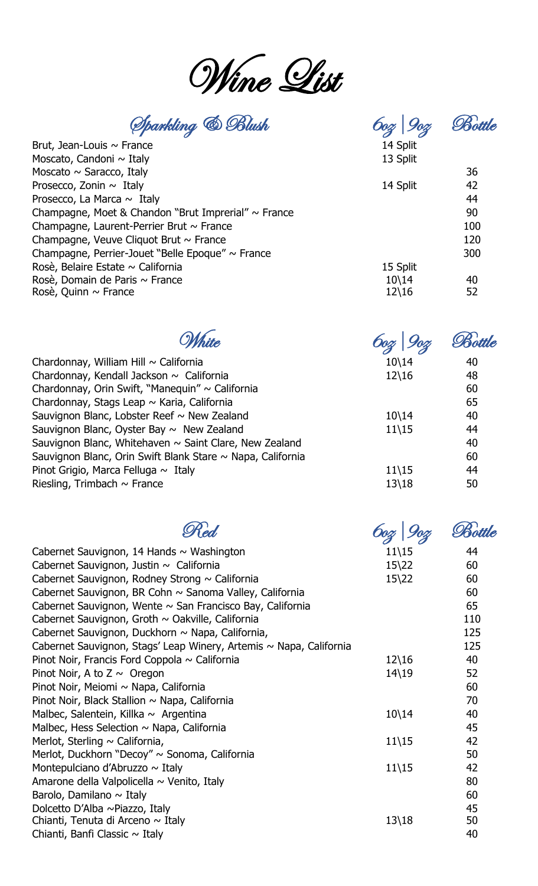Wine List

Sparkling & Blush 6oz|9oz Bottle

|                                                          | $\alpha$ . $\alpha$ |     |
|----------------------------------------------------------|---------------------|-----|
| Brut, Jean-Louis $\sim$ France                           | 14 Split            |     |
| Moscato, Candoni $\sim$ Italy                            | 13 Split            |     |
| Moscato $\sim$ Saracco, Italy                            |                     | 36  |
| Prosecco, Zonin $\sim$ Italy                             | 14 Split            | 42  |
| Prosecco, La Marca $\sim$ Italy                          |                     | 44  |
| Champagne, Moet & Chandon "Brut Imprerial" $\sim$ France |                     | 90  |
| Champagne, Laurent-Perrier Brut $\sim$ France            |                     | 100 |
| Champagne, Veuve Cliquot Brut $\sim$ France              |                     | 120 |
| Champagne, Perrier-Jouet "Belle Epoque" $\sim$ France    |                     | 300 |
| Rosè, Belaire Estate $\sim$ California                   | 15 Split            |     |
| Rosè, Domain de Paris $\sim$ France                      | $10\backslash 14$   | 40  |
| Rosè, Quinn $\sim$ France                                | $12\backslash 16$   | 52  |

|                                                                 |                   | Bottle |
|-----------------------------------------------------------------|-------------------|--------|
| Chardonnay, William Hill ~ California                           | $10\backslash14$  | 40     |
| Chardonnay, Kendall Jackson $\sim$ California                   | $12\backslash 16$ | 48     |
| Chardonnay, Orin Swift, "Manequin" ~ California                 |                   | 60     |
| Chardonnay, Stags Leap ~ Karia, California                      |                   | 65     |
| Sauvignon Blanc, Lobster Reef $\sim$ New Zealand                | $10\backslash14$  | 40     |
| Sauvignon Blanc, Oyster Bay $\sim$ New Zealand                  | $11\backslash15$  | 44     |
| Sauvignon Blanc, Whitehaven $\sim$ Saint Clare, New Zealand     |                   | 40     |
| Sauvignon Blanc, Orin Swift Blank Stare $\sim$ Napa, California |                   | 60     |
| Pinot Grigio, Marca Felluga $\sim$ Italy                        | $11\backslash15$  | 44     |
| Riesling, Trimbach $\sim$ France                                | $13\backslash 18$ | 50     |
|                                                                 |                   |        |

| Cabernet Sauvignon, 14 Hands $\sim$ Washington                     | $11\backslash15$  | 44  |
|--------------------------------------------------------------------|-------------------|-----|
| Cabernet Sauvignon, Justin $\sim$ California                       | $15\frac{22}{5}$  | 60  |
| Cabernet Sauvignon, Rodney Strong $\sim$ California                | $15\frac{22}{5}$  | 60  |
| Cabernet Sauvignon, BR Cohn ~ Sanoma Valley, California            |                   | 60  |
| Cabernet Sauvignon, Wente $\sim$ San Francisco Bay, California     |                   | 65  |
| Cabernet Sauvignon, Groth ~ Oakville, California                   |                   | 110 |
| Cabernet Sauvignon, Duckhorn ~ Napa, California,                   |                   | 125 |
| Cabernet Sauvignon, Stags' Leap Winery, Artemis ~ Napa, California |                   | 125 |
| Pinot Noir, Francis Ford Coppola $\sim$ California                 | $12\backslash 16$ | 40  |
| Pinot Noir, A to $Z \sim$ Oregon                                   | $14\backslash19$  | 52  |
| Pinot Noir, Meiomi ~ Napa, California                              |                   | 60  |
| Pinot Noir, Black Stallion $\sim$ Napa, California                 |                   | 70  |
| Malbec, Salentein, Killka $\sim$ Argentina                         | $10\backslash 14$ | 40  |
| Malbec, Hess Selection $\sim$ Napa, California                     |                   | 45  |
| Merlot, Sterling $\sim$ California,                                | $11\backslash15$  | 42  |
| Merlot, Duckhorn "Decoy" ~ Sonoma, California                      |                   | 50  |
| Montepulciano d'Abruzzo $\sim$ Italy                               | $11\backslash15$  | 42  |
| Amarone della Valpolicella $\sim$ Venito, Italy                    |                   | 80  |
| Barolo, Damilano ~ Italy                                           |                   | 60  |
| Dolcetto D'Alba ~Piazzo, Italy                                     |                   | 45  |
| Chianti, Tenuta di Arceno $\sim$ Italy                             | $13\backslash 18$ | 50  |
| Chianti, Banfi Classic $\sim$ Italy                                |                   | 40  |